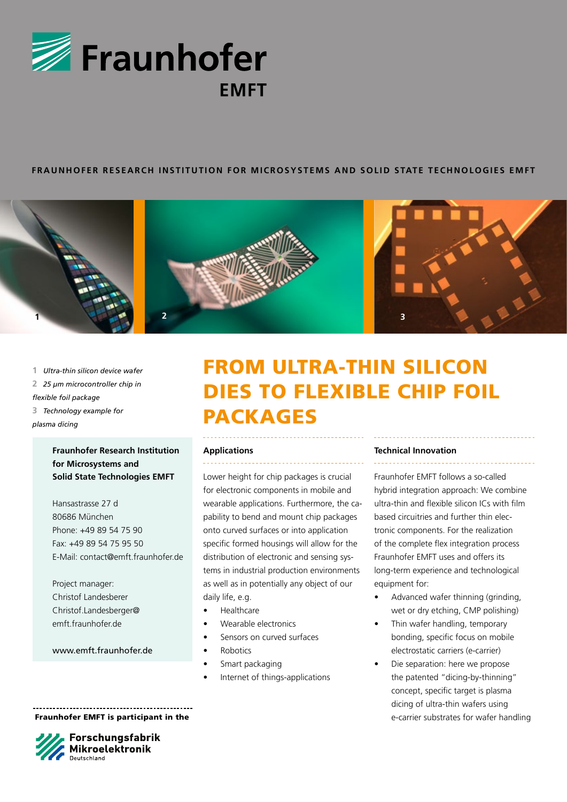

## **FRAUNHOFER re s earch Ins t i tut ion for Microsyst ems and Sol id S tat e Technologie s EMF T**







 *Ultra-thin silicon device wafer 25 μm microcontroller chip in flexible foil package Technology example for* 

*plasma dicing*

# **Fraunhofer Research Institution for Microsystems and Solid State Technologies EMFT**

Hansastrasse 27 d 80686 München Phone: +49 89 54 75 90 Fax: +49 89 54 75 95 50 E-Mail: contact@emft.fraunhofer.de

Project manager: Christof Landesberer Christof.Landesberger@ emft.fraunhofer.de

www.emft.fraunhofer.de

# From ultra-thin silicon dies to flexible chip foil **PACKAGES**

### **Applications**

Lower height for chip packages is crucial for electronic components in mobile and wearable applications. Furthermore, the capability to bend and mount chip packages onto curved surfaces or into application specific formed housings will allow for the distribution of electronic and sensing systems in industrial production environments as well as in potentially any object of our daily life, e.g.

- Healthcare
- Wearable electronics
- Sensors on curved surfaces
- **Robotics**
- Smart packaging
- Internet of things-applications

#### **Technical Innovation**

Fraunhofer EMFT follows a so-called hybrid integration approach: We combine

ultra-thin and flexible silicon ICs with film based circuitries and further thin electronic components. For the realization of the complete flex integration process Fraunhofer EMFT uses and offers its long-term experience and technological equipment for:

- Advanced wafer thinning (grinding, wet or dry etching, CMP polishing)
- Thin wafer handling, temporary bonding, specific focus on mobile electrostatic carriers (e-carrier)
- Die separation: here we propose the patented "dicing-by-thinning" concept, specific target is plasma dicing of ultra-thin wafers using e-carrier substrates for wafer handling

Fraunhofer EMFT is participant in the